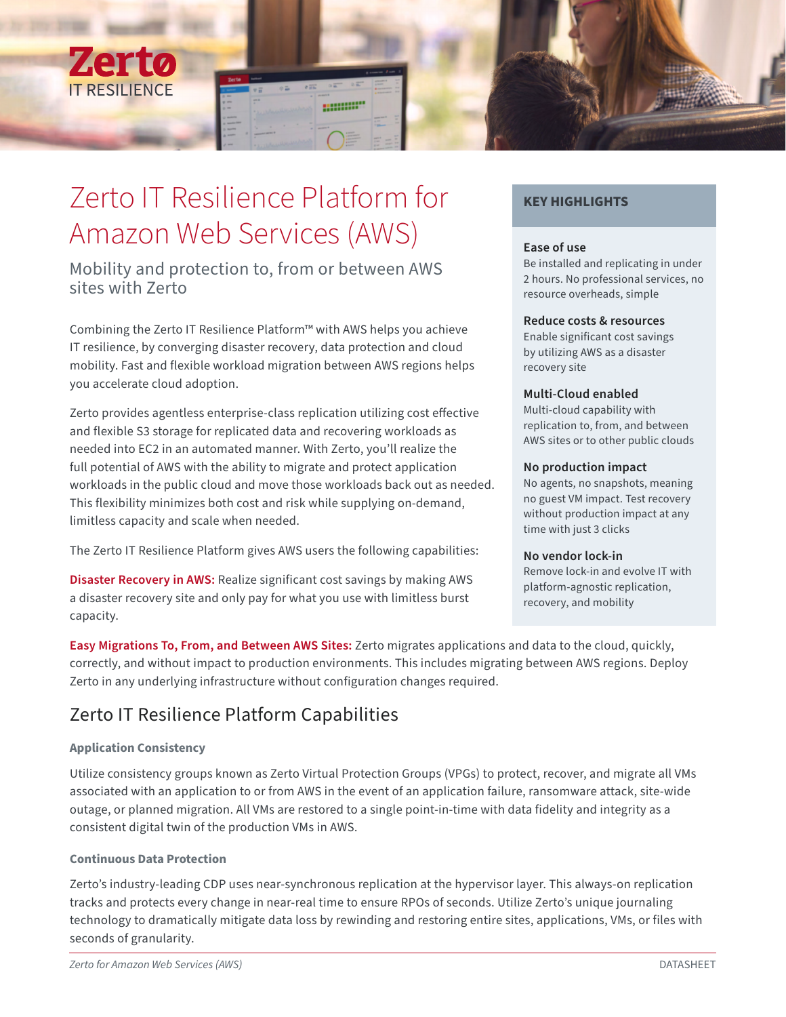

# Zerto IT Resilience Platform for Amazon Web Services (AWS)

Mobility and protection to, from or between AWS sites with Zerto

Combining the Zerto IT Resilience Platform™ with AWS helps you achieve IT resilience, by converging disaster recovery, data protection and cloud mobility. Fast and flexible workload migration between AWS regions helps you accelerate cloud adoption.

Zerto provides agentless enterprise-class replication utilizing cost effective and flexible S3 storage for replicated data and recovering workloads as needed into EC2 in an automated manner. With Zerto, you'll realize the full potential of AWS with the ability to migrate and protect application workloads in the public cloud and move those workloads back out as needed. This flexibility minimizes both cost and risk while supplying on-demand, limitless capacity and scale when needed.

The Zerto IT Resilience Platform gives AWS users the following capabilities:

**Disaster Recovery in AWS:** Realize significant cost savings by making AWS a disaster recovery site and only pay for what you use with limitless burst capacity.

## **KEY HIGHLIGHTS**

## **Ease of use**

Be installed and replicating in under 2 hours. No professional services, no resource overheads, simple

## **Reduce costs & resources**

Enable significant cost savings by utilizing AWS as a disaster recovery site

## **Multi-Cloud enabled**

Multi-cloud capability with replication to, from, and between AWS sites or to other public clouds

## **No production impact**

No agents, no snapshots, meaning no guest VM impact. Test recovery without production impact at any time with just 3 clicks

## **No vendor lock-in**

Remove lock-in and evolve IT with platform-agnostic replication, recovery, and mobility

**Easy Migrations To, From, and Between AWS Sites:** Zerto migrates applications and data to the cloud, quickly, correctly, and without impact to production environments. This includes migrating between AWS regions. Deploy Zerto in any underlying infrastructure without configuration changes required.

## Zerto IT Resilience Platform Capabilities

## **Application Consistency**

Utilize consistency groups known as Zerto Virtual Protection Groups (VPGs) to protect, recover, and migrate all VMs associated with an application to or from AWS in the event of an application failure, ransomware attack, site-wide outage, or planned migration. All VMs are restored to a single point-in-time with data fidelity and integrity as a consistent digital twin of the production VMs in AWS.

## **Continuous Data Protection**

Zerto's industry-leading CDP uses near-synchronous replication at the hypervisor layer. This always-on replication tracks and protects every change in near-real time to ensure RPOs of seconds. Utilize Zerto's unique journaling technology to dramatically mitigate data loss by rewinding and restoring entire sites, applications, VMs, or files with seconds of granularity.